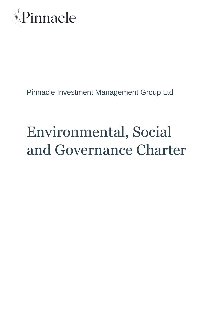

## Pinnacle Investment Management Group Ltd

# Environmental, Social and Governance Charter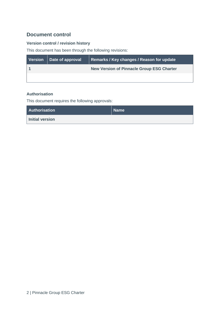### **Document control**

#### **Version control / revision history**

This document has been through the following revisions:

| Version   Date of approval | Remarks / Key changes / Reason for update        |
|----------------------------|--------------------------------------------------|
|                            | <b>New Version of Pinnacle Group ESG Charter</b> |
|                            |                                                  |

#### **Authorisation**

This document requires the following approvals:

| Authorisation          | <b>Name</b> |
|------------------------|-------------|
| <b>Initial version</b> |             |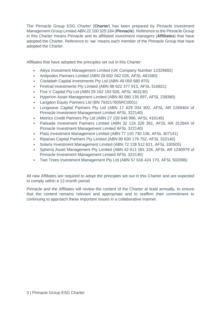The Pinnacle Group ESG Charter (**Charter**) has been prepared by Pinnacle Investment Management Group Limited ABN 22 100 325 184 (**Pinnacle**). Reference to the Pinnacle Group in this Charter means Pinnacle and its affiliated investment managers (**Affiliates**) that have adopted the Charter. Reference to 'we' means each member of the Pinnacle Group that have adopted the Charter.

Affiliates that have adopted the principles set out in this Charter:

- Aikya Investment Management Limited (UK Company Number 12329682)
- Antipodes Partners Limited (ABN 29 602 042 035, AFSL 481580)
- Coolabah Capital investments Pty Ltd [\(ABN 49 050 680 870\)](http://abr.business.gov.au/Search.aspx?SearchText=49%20050%20680%20870)
- Firetrail Investments Pty Limited (ABN 98 622 377 913, AFSL 516821)
- Five V Capital Pty Ltd (ABN 29 162 193 928, AFSL 463130)
- Hyperion Asset Management Limited (ABN 80 080 135 897, AFSL 238380)
- Langdon Equity Partners Ltd (BN 793217605RC0001)
- Longwave Capital Partners Pty Ltd (ABN 17 629 034 902, AFSL AR 1269404 of Pinnacle Investment Management Limited AFSL 322140)
- Metrics Credit Partners Pty Ltd (ABN 27 150 646 996, AFSL 416146)
- Palisade Investment Partners Limited (ABN 32 124 326 361, AFSL AR 312944 of Pinnacle Investment Management Limited AFSL 322140)
- Plato Investment Management Limited (ABN 77 120 730 136, AFSL 307141)
- Riparian Capital Partners Pty Limited (ABN 80 630 179 752, AFSL 322140)
- Solaris Investment Management Limited (ABN 72 128 512 621, AFSL 330505)
- Spheria Asset Management Pty Limited (ABN 42 611 081 326, AFSL AR 1240979 of Pinnacle Investment Management Limited AFSL 322140)
- Two Trees Investment Management Pty Ltd (ABN 57 616 424 170, AFSL 502096)

All new Affiliates are required to adopt the principles set out in this Charter and are expected to comply within a 12-month period.

Pinnacle and the Affiliates will review the content of the Charter at least annually, to ensure that the content remains relevant and appropriate and to reaffirm their commitment to continuing to approach these important issues in a collaborative manner.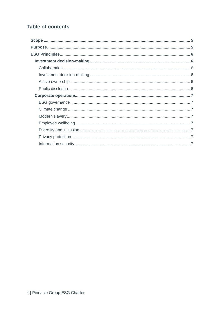### **Table of contents**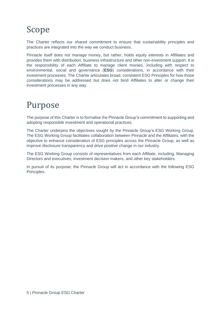# <span id="page-4-0"></span>Scope

The Charter reflects our shared commitment to ensure that sustainability principles and practices are integrated into the way we conduct business.

Pinnacle itself does not manage money, but rather, holds equity interests in Affiliates and provides them with distribution, business infrastructure and other non-investment support. It is the responsibility of each Affiliate to manage client monies, including with respect to environmental, social and governance (**ESG**) considerations, in accordance with their investment processes. The Charter articulates broad, consistent ESG Principles for how those considerations may be addressed but does not bind Affiliates to alter or change their investment processes in any way.

# <span id="page-4-1"></span>Purpose

The purpose of this Charter is to formalise the Pinnacle Group's commitment to supporting and adopting responsible investment and operational practices.

The Charter underpins the objectives sought by the Pinnacle Group's ESG Working Group. The ESG Working Group facilitates collaboration between Pinnacle and the Affiliates, with the objective to enhance consideration of ESG principles across the Pinnacle Group, as well as improve disclosure transparency and drive positive change in our industry.

The ESG Working Group consists of representatives from each Affiliate, including, Managing Directors and executives, investment decision makers, and other key stakeholders.

<span id="page-4-2"></span>In pursuit of its purpose, the Pinnacle Group will act in accordance with the following ESG Principles.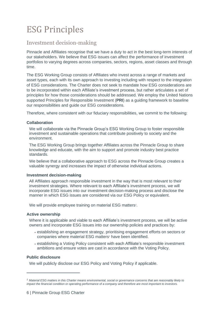# ESG Principles

### <span id="page-5-0"></span>Investment decision-making

Pinnacle and Affiliates recognise that we have a duty to act in the best long-term interests of our stakeholders. We believe that ESG issues can affect the performance of investment portfolios to varying degrees across companies, sectors, regions, asset classes and through time.

The ESG Working Group consists of Affiliates who invest across a range of markets and asset types, each with its own approach to investing including with respect to the integration of ESG considerations. The Charter does not seek to mandate how ESG considerations are to be incorporated within each Affiliate's investment process, but rather articulates a set of principles for how those considerations should be addressed. We employ the United Nations supported Principles for Responsible Investment (**PRI**) as a guiding framework to baseline our responsibilities and guide our ESG considerations.

Therefore, where consistent with our fiduciary responsibilities, we commit to the following:

#### <span id="page-5-1"></span>**Collaboration**

We will collaborate via the Pinnacle Group's ESG Working Group to foster responsible investment and sustainable operations that contribute positively to society and the environment.

The ESG Working Group brings together Affiliates across the Pinnacle Group to share knowledge and educate, with the aim to support and promote industry best practice standards.

We believe that a collaborative approach to ESG across the Pinnacle Group creates a valuable synergy and increases the impact of otherwise individual actions.

#### <span id="page-5-2"></span>**Investment decision-making**

All Affiliates approach responsible investment in the way that is most relevant to their investment strategies. Where relevant to each Affiliate's investment process, we will incorporate ESG issues into our investment decision-making process and disclose the manner in which ESG issues are considered via our ESG Policy or equivalent.

We will provide employee training on material ESG matters*<sup>1</sup>* .

#### <span id="page-5-3"></span>**Active ownership**

Where it is applicable and viable to each Affiliate's investment process, we will be active owners and incorporate ESG issues into our ownership policies and practices by:

- establishing an engagement strategy, prioritising engagement efforts on sectors or companies where material ESG matters*<sup>1</sup>* have been identified.
- establishing a Voting Policy consistent with each Affiliate's responsible investment ambitions and ensure votes are cast in accordance with the Voting Policy.

#### <span id="page-5-4"></span>**Public disclosure**

We will publicly disclose our ESG Policy and Voting Policy if applicable.

*<sup>1</sup> Material ESG matters in this Charter means environmental, social or governance concerns that are reasonably likely to impact the financial condition or operating performance of a company and therefore are most important to investors.*